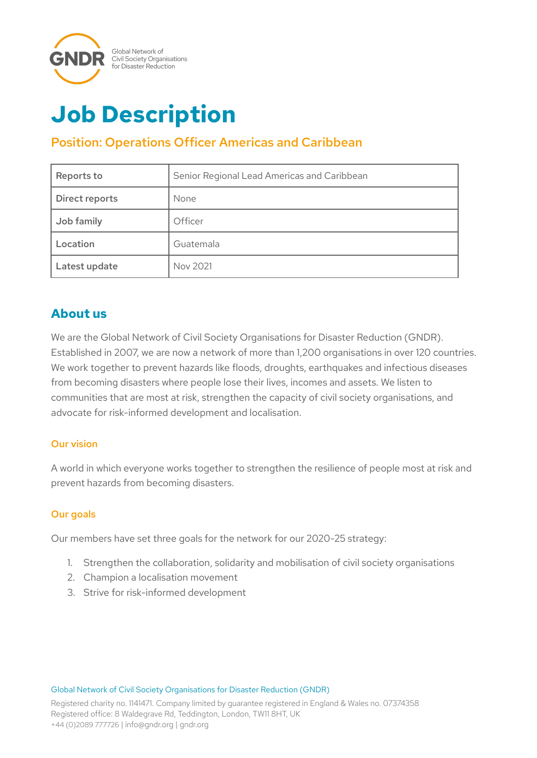

# **Job Description**

# Position: Operations Officer Americas and Caribbean

| Reports to     | Senior Regional Lead Americas and Caribbean |  |
|----------------|---------------------------------------------|--|
| Direct reports | None                                        |  |
| Job family     | Officer                                     |  |
| Location       | Guatemala                                   |  |
| Latest update  | Nov 2021                                    |  |

# **About us**

We are the Global Network of Civil Society Organisations for Disaster Reduction (GNDR). Established in 2007, we are now a network of more than 1,200 organisations in over 120 countries. We work together to prevent hazards like floods, droughts, earthquakes and infectious diseases from becoming disasters where people lose their lives, incomes and assets. We listen to communities that are most at risk, strengthen the capacity of civil society organisations, and advocate for risk-informed development and localisation.

### Our vision

A world in which everyone works together to strengthen the resilience of people most at risk and prevent hazards from becoming disasters.

### Our goals

Our members have set three goals for the network for our 2020-25 strategy:

- 1. Strengthen the collaboration, solidarity and mobilisation of civil society organisations
- 2. Champion a localisation movement
- 3. Strive for risk-informed development

Registered charity no. 1141471. Company limited by guarantee registered in England & Wales no. 07374358 Registered office: 8 Waldegrave Rd, Teddington, London, TW11 8HT, UK +44 (0)2089 777726 | info@gndr.org | gndr.org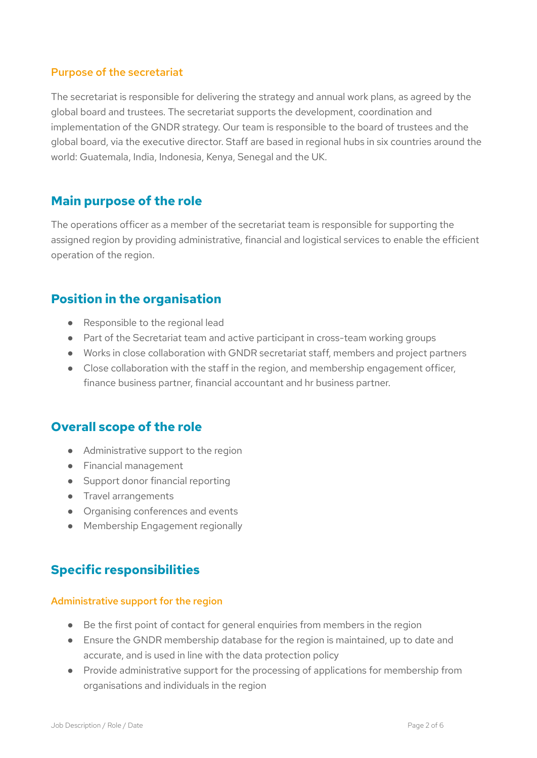### Purpose of the secretariat

The secretariat is responsible for delivering the strategy and annual work plans, as agreed by the global board and trustees. The secretariat supports the development, coordination and implementation of the GNDR strategy. Our team is responsible to the board of trustees and the global board, via the executive director. Staff are based in regional hubs in six countries around the world: Guatemala, India, Indonesia, Kenya, Senegal and the UK.

## **Main purpose of the role**

The operations officer as a member of the secretariat team is responsible for supporting the assigned region by providing administrative, financial and logistical services to enable the efficient operation of the region.

# **Position in the organisation**

- Responsible to the regional lead
- Part of the Secretariat team and active participant in cross-team working groups
- Works in close collaboration with GNDR secretariat staff, members and project partners
- Close collaboration with the staff in the region, and membership engagement officer, finance business partner, financial accountant and hr business partner.

## **Overall scope of the role**

- Administrative support to the region
- Financial management
- Support donor financial reporting
- Travel arrangements
- Organising conferences and events
- Membership Engagement regionally

# **Specific responsibilities**

#### Administrative support for the region

- Be the first point of contact for general enquiries from members in the region
- Ensure the GNDR membership database for the region is maintained, up to date and accurate, and is used in line with the data protection policy
- Provide administrative support for the processing of applications for membership from organisations and individuals in the region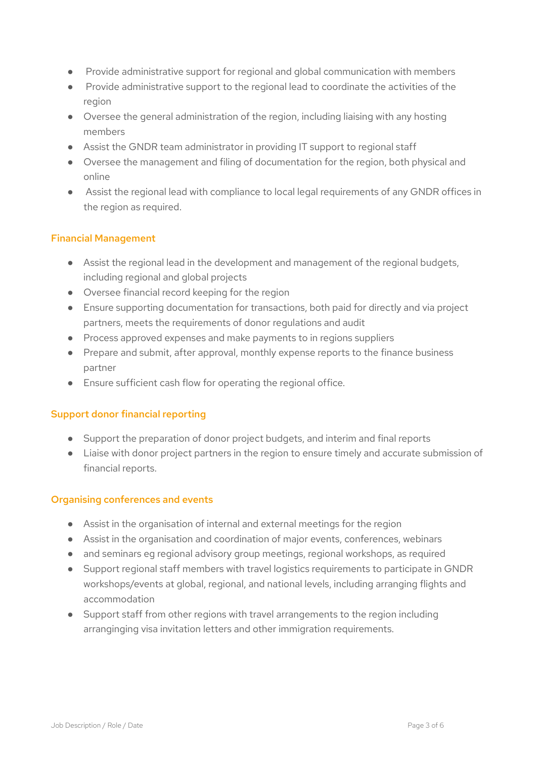- Provide administrative support for regional and global communication with members
- Provide administrative support to the regional lead to coordinate the activities of the region
- Oversee the general administration of the region, including liaising with any hosting members
- Assist the GNDR team administrator in providing IT support to regional staff
- Oversee the management and filing of documentation for the region, both physical and online
- Assist the regional lead with compliance to local legal requirements of any GNDR offices in the region as required.

### Financial Management

- Assist the regional lead in the development and management of the regional budgets, including regional and global projects
- Oversee financial record keeping for the region
- Ensure supporting documentation for transactions, both paid for directly and via project partners, meets the requirements of donor regulations and audit
- Process approved expenses and make payments to in regions suppliers
- Prepare and submit, after approval, monthly expense reports to the finance business partner
- Ensure sufficient cash flow for operating the regional office.

#### Support donor financial reporting

- Support the preparation of donor project budgets, and interim and final reports
- Liaise with donor project partners in the region to ensure timely and accurate submission of financial reports.

#### Organising conferences and events

- Assist in the organisation of internal and external meetings for the region
- Assist in the organisation and coordination of major events, conferences, webinars
- and seminars eg regional advisory group meetings, regional workshops, as required
- Support regional staff members with travel logistics requirements to participate in GNDR workshops/events at global, regional, and national levels, including arranging flights and accommodation
- Support staff from other regions with travel arrangements to the region including arranginging visa invitation letters and other immigration requirements.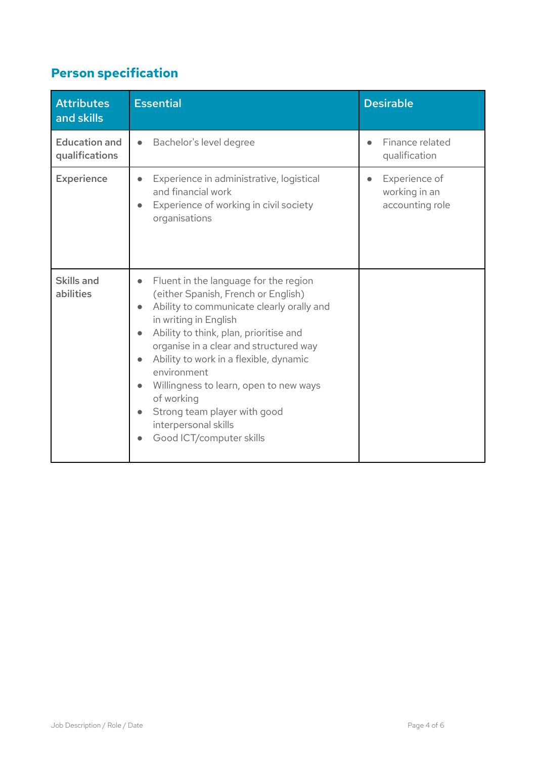# **Person specification**

| <b>Attributes</b><br>and skills        | <b>Essential</b>                                                                                                                                                                                                                                                                                                                                                                                                                                                                                             | <b>Desirable</b>                                               |
|----------------------------------------|--------------------------------------------------------------------------------------------------------------------------------------------------------------------------------------------------------------------------------------------------------------------------------------------------------------------------------------------------------------------------------------------------------------------------------------------------------------------------------------------------------------|----------------------------------------------------------------|
| <b>Education and</b><br>qualifications | Bachelor's level degree<br>$\bullet$                                                                                                                                                                                                                                                                                                                                                                                                                                                                         | Finance related<br>qualification                               |
| <b>Experience</b>                      | Experience in administrative, logistical<br>$\bullet$<br>and financial work<br>Experience of working in civil society<br>organisations                                                                                                                                                                                                                                                                                                                                                                       | Experience of<br>$\bullet$<br>working in an<br>accounting role |
| <b>Skills and</b><br>abilities         | Fluent in the language for the region<br>$\bullet$<br>(either Spanish, French or English)<br>Ability to communicate clearly orally and<br>$\bullet$<br>in writing in English<br>Ability to think, plan, prioritise and<br>$\bullet$<br>organise in a clear and structured way<br>Ability to work in a flexible, dynamic<br>$\bullet$<br>environment<br>Willingness to learn, open to new ways<br>$\bullet$<br>of working<br>Strong team player with good<br>interpersonal skills<br>Good ICT/computer skills |                                                                |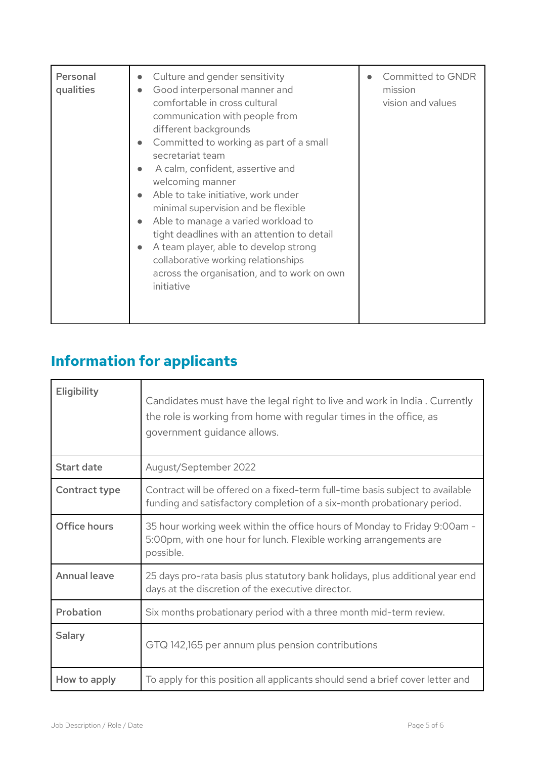| Personal<br>Culture and gender sensitivity<br>$\bullet$<br>qualities<br>Good interpersonal manner and<br>$\bullet$<br>comfortable in cross cultural<br>communication with people from<br>different backgrounds<br>Committed to working as part of a small<br>$\bullet$<br>secretariat team<br>A calm, confident, assertive and<br>$\bullet$<br>welcoming manner<br>Able to take initiative, work under<br>$\bullet$<br>minimal supervision and be flexible<br>Able to manage a varied workload to<br>$\bullet$<br>tight deadlines with an attention to detail<br>A team player, able to develop strong<br>$\bullet$<br>collaborative working relationships<br>across the organisation, and to work on own<br>initiative | Committed to GNDR<br>mission<br>vision and values |
|-------------------------------------------------------------------------------------------------------------------------------------------------------------------------------------------------------------------------------------------------------------------------------------------------------------------------------------------------------------------------------------------------------------------------------------------------------------------------------------------------------------------------------------------------------------------------------------------------------------------------------------------------------------------------------------------------------------------------|---------------------------------------------------|
|-------------------------------------------------------------------------------------------------------------------------------------------------------------------------------------------------------------------------------------------------------------------------------------------------------------------------------------------------------------------------------------------------------------------------------------------------------------------------------------------------------------------------------------------------------------------------------------------------------------------------------------------------------------------------------------------------------------------------|---------------------------------------------------|

# **Information for applicants**

| Eligibility         | Candidates must have the legal right to live and work in India. Currently<br>the role is working from home with regular times in the office, as<br>government guidance allows. |
|---------------------|--------------------------------------------------------------------------------------------------------------------------------------------------------------------------------|
| <b>Start date</b>   | August/September 2022                                                                                                                                                          |
| Contract type       | Contract will be offered on a fixed-term full-time basis subject to available<br>funding and satisfactory completion of a six-month probationary period.                       |
| Office hours        | 35 hour working week within the office hours of Monday to Friday 9:00am -<br>5:00pm, with one hour for lunch. Flexible working arrangements are<br>possible.                   |
| <b>Annual leave</b> | 25 days pro-rata basis plus statutory bank holidays, plus additional year end<br>days at the discretion of the executive director.                                             |
| Probation           | Six months probationary period with a three month mid-term review.                                                                                                             |
| <b>Salary</b>       | GTQ 142,165 per annum plus pension contributions                                                                                                                               |
| How to apply        | To apply for this position all applicants should send a brief cover letter and                                                                                                 |